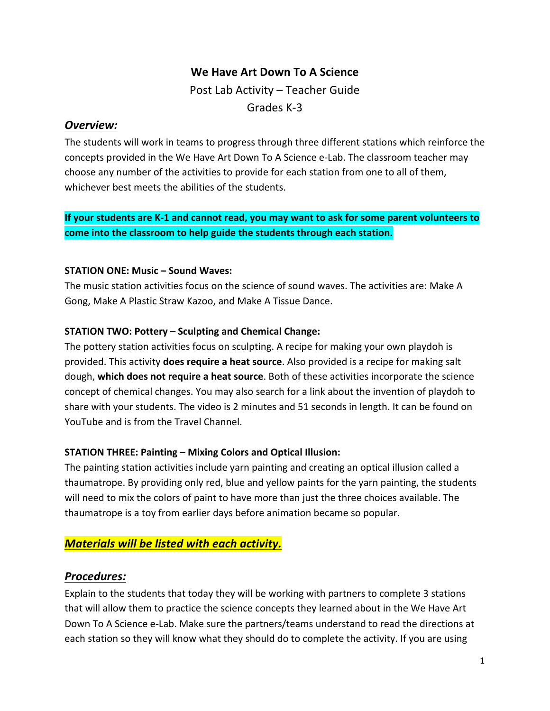## We Have Art Down To A Science

Post Lab Activity – Teacher Guide Grades K-3

## *Overview:*

The students will work in teams to progress through three different stations which reinforce the concepts provided in the We Have Art Down To A Science e-Lab. The classroom teacher may choose any number of the activities to provide for each station from one to all of them, whichever best meets the abilities of the students.

If your students are K-1 and cannot read, you may want to ask for some parent volunteers to come into the classroom to help guide the students through each station.

## **STATION ONE: Music – Sound Waves:**

The music station activities focus on the science of sound waves. The activities are: Make A Gong, Make A Plastic Straw Kazoo, and Make A Tissue Dance.

## **STATION TWO: Pottery – Sculpting and Chemical Change:**

The pottery station activities focus on sculpting. A recipe for making your own playdoh is provided. This activity **does require a heat source**. Also provided is a recipe for making salt dough, which does not require a heat source. Both of these activities incorporate the science concept of chemical changes. You may also search for a link about the invention of playdoh to share with your students. The video is 2 minutes and 51 seconds in length. It can be found on YouTube and is from the Travel Channel.

## **STATION THREE: Painting – Mixing Colors and Optical Illusion:**

The painting station activities include yarn painting and creating an optical illusion called a thaumatrope. By providing only red, blue and yellow paints for the yarn painting, the students will need to mix the colors of paint to have more than just the three choices available. The thaumatrope is a toy from earlier days before animation became so popular.

## **Materials will be listed with each activity.**

## *Procedures:*

Explain to the students that today they will be working with partners to complete 3 stations that will allow them to practice the science concepts they learned about in the We Have Art Down To A Science e-Lab. Make sure the partners/teams understand to read the directions at each station so they will know what they should do to complete the activity. If you are using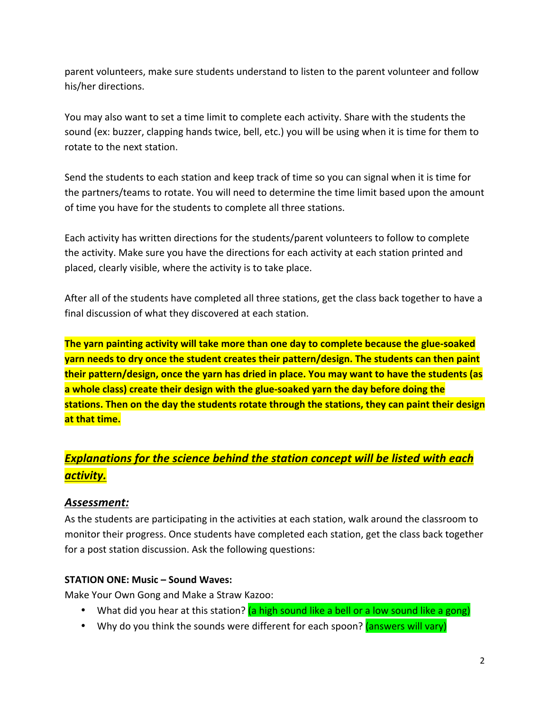parent volunteers, make sure students understand to listen to the parent volunteer and follow his/her directions.

You may also want to set a time limit to complete each activity. Share with the students the sound (ex: buzzer, clapping hands twice, bell, etc.) you will be using when it is time for them to rotate to the next station.

Send the students to each station and keep track of time so you can signal when it is time for the partners/teams to rotate. You will need to determine the time limit based upon the amount of time you have for the students to complete all three stations.

Each activity has written directions for the students/parent volunteers to follow to complete the activity. Make sure you have the directions for each activity at each station printed and placed, clearly visible, where the activity is to take place.

After all of the students have completed all three stations, get the class back together to have a final discussion of what they discovered at each station.

**The yarn painting activity will take more than one day to complete because the glue-soaked yarn needs to dry once the student creates their pattern/design. The students can then paint their pattern/design, once the yarn has dried in place. You may want to have the students (as** a whole class) create their design with the glue-soaked yarn the day before doing the stations. Then on the day the students rotate through the stations, they can paint their design **at that time.** 

# **Explanations for the science behind the station concept will be listed with each** *activity.*

## *Assessment:*

As the students are participating in the activities at each station, walk around the classroom to monitor their progress. Once students have completed each station, get the class back together for a post station discussion. Ask the following questions:

#### **STATION ONE: Music – Sound Waves:**

Make Your Own Gong and Make a Straw Kazoo:

- What did you hear at this station? (a high sound like a bell or a low sound like a gong)
- Why do you think the sounds were different for each spoon? (answers will vary)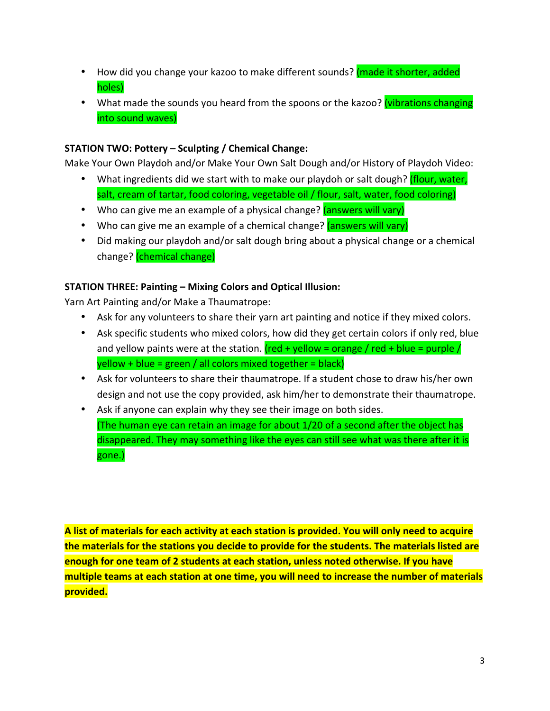- How did you change your kazoo to make different sounds? (made it shorter, added holes)
- What made the sounds you heard from the spoons or the kazoo? (vibrations changing into sound waves)

#### **STATION TWO: Pottery – Sculpting / Chemical Change:**

Make Your Own Playdoh and/or Make Your Own Salt Dough and/or History of Playdoh Video:

- What ingredients did we start with to make our playdoh or salt dough? (flour, water, salt, cream of tartar, food coloring, vegetable oil / flour, salt, water, food coloring)
- Who can give me an example of a physical change? (answers will vary)
- Who can give me an example of a chemical change? (answers will vary)
- Did making our playdoh and/or salt dough bring about a physical change or a chemical change? (chemical change)

## **STATION THREE: Painting – Mixing Colors and Optical Illusion:**

Yarn Art Painting and/or Make a Thaumatrope:

- Ask for any volunteers to share their yarn art painting and notice if they mixed colors.
- Ask specific students who mixed colors, how did they get certain colors if only red, blue and yellow paints were at the station.  $(\text{red} + \text{yellow} = \text{orange}/ \text{red} + \text{blue} = \text{purple}/$  $y$ ellow + blue = green / all colors mixed together = black)
- Ask for volunteers to share their thaumatrope. If a student chose to draw his/her own design and not use the copy provided, ask him/her to demonstrate their thaumatrope.
- Ask if anyone can explain why they see their image on both sides. (The human eye can retain an image for about  $1/20$  of a second after the object has disappeared. They may something like the eyes can still see what was there after it is gone.)

**A** list of materials for each activity at each station is provided. You will only need to acquire the materials for the stations you decide to provide for the students. The materials listed are **enough for one team of 2 students at each station, unless noted otherwise. If you have** multiple teams at each station at one time, you will need to increase the number of materials **provided.**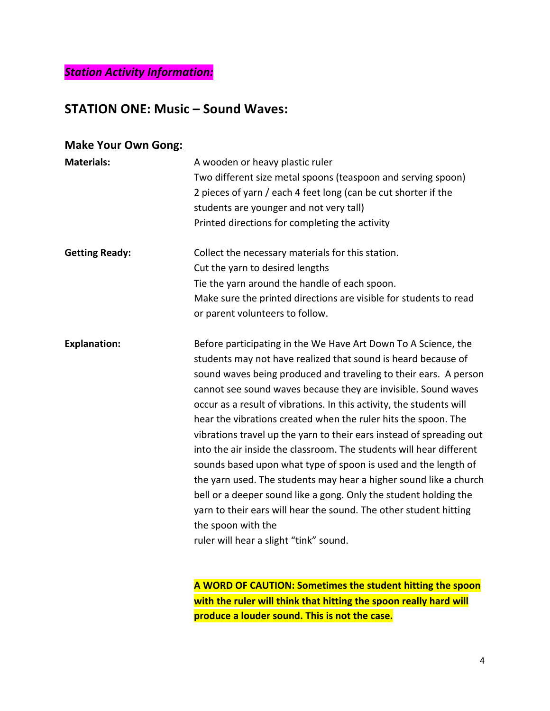*Station Activity Information:*

## **STATION ONE: Music – Sound Waves:**

## **Make Your Own Gong:**

| <b>Materials:</b>     | A wooden or heavy plastic ruler<br>Two different size metal spoons (teaspoon and serving spoon)<br>2 pieces of yarn / each 4 feet long (can be cut shorter if the<br>students are younger and not very tall)<br>Printed directions for completing the activity                                                                                                                                                                                                                                                                                                                                                                                                                                                                                                                                                                                                                                                 |
|-----------------------|----------------------------------------------------------------------------------------------------------------------------------------------------------------------------------------------------------------------------------------------------------------------------------------------------------------------------------------------------------------------------------------------------------------------------------------------------------------------------------------------------------------------------------------------------------------------------------------------------------------------------------------------------------------------------------------------------------------------------------------------------------------------------------------------------------------------------------------------------------------------------------------------------------------|
| <b>Getting Ready:</b> | Collect the necessary materials for this station.<br>Cut the yarn to desired lengths<br>Tie the yarn around the handle of each spoon.<br>Make sure the printed directions are visible for students to read<br>or parent volunteers to follow.                                                                                                                                                                                                                                                                                                                                                                                                                                                                                                                                                                                                                                                                  |
| <b>Explanation:</b>   | Before participating in the We Have Art Down To A Science, the<br>students may not have realized that sound is heard because of<br>sound waves being produced and traveling to their ears. A person<br>cannot see sound waves because they are invisible. Sound waves<br>occur as a result of vibrations. In this activity, the students will<br>hear the vibrations created when the ruler hits the spoon. The<br>vibrations travel up the yarn to their ears instead of spreading out<br>into the air inside the classroom. The students will hear different<br>sounds based upon what type of spoon is used and the length of<br>the yarn used. The students may hear a higher sound like a church<br>bell or a deeper sound like a gong. Only the student holding the<br>yarn to their ears will hear the sound. The other student hitting<br>the spoon with the<br>ruler will hear a slight "tink" sound. |

**A WORD OF CAUTION: Sometimes the student hitting the spoon** with the ruler will think that hitting the spoon really hard will produce a louder sound. This is not the case.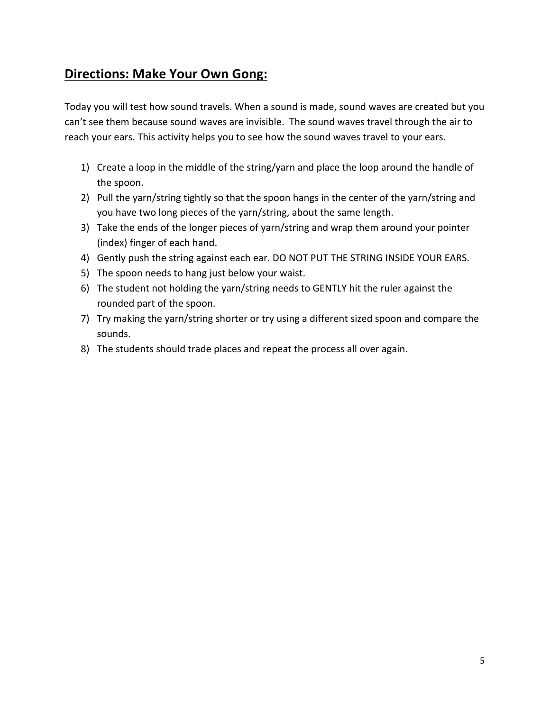# **Directions: Make Your Own Gong:**

Today you will test how sound travels. When a sound is made, sound waves are created but you can't see them because sound waves are invisible. The sound waves travel through the air to reach your ears. This activity helps you to see how the sound waves travel to your ears.

- 1) Create a loop in the middle of the string/yarn and place the loop around the handle of the spoon.
- 2) Pull the yarn/string tightly so that the spoon hangs in the center of the yarn/string and you have two long pieces of the yarn/string, about the same length.
- 3) Take the ends of the longer pieces of yarn/string and wrap them around your pointer (index) finger of each hand.
- 4) Gently push the string against each ear. DO NOT PUT THE STRING INSIDE YOUR EARS.
- 5) The spoon needs to hang just below your waist.
- 6) The student not holding the yarn/string needs to GENTLY hit the ruler against the rounded part of the spoon.
- 7) Try making the yarn/string shorter or try using a different sized spoon and compare the sounds.
- 8) The students should trade places and repeat the process all over again.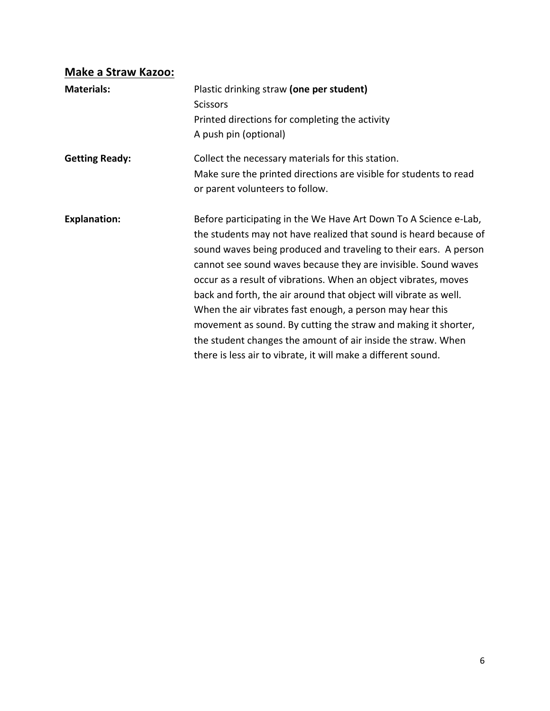# **Make a Straw Kazoo:**

| <b>Materials:</b>     | Plastic drinking straw (one per student)<br><b>Scissors</b><br>Printed directions for completing the activity<br>A push pin (optional)                                                                                                                                                                                                                                                                                                                                                                                                                                                                                                                                             |
|-----------------------|------------------------------------------------------------------------------------------------------------------------------------------------------------------------------------------------------------------------------------------------------------------------------------------------------------------------------------------------------------------------------------------------------------------------------------------------------------------------------------------------------------------------------------------------------------------------------------------------------------------------------------------------------------------------------------|
| <b>Getting Ready:</b> | Collect the necessary materials for this station.<br>Make sure the printed directions are visible for students to read<br>or parent volunteers to follow.                                                                                                                                                                                                                                                                                                                                                                                                                                                                                                                          |
| <b>Explanation:</b>   | Before participating in the We Have Art Down To A Science e-Lab,<br>the students may not have realized that sound is heard because of<br>sound waves being produced and traveling to their ears. A person<br>cannot see sound waves because they are invisible. Sound waves<br>occur as a result of vibrations. When an object vibrates, moves<br>back and forth, the air around that object will vibrate as well.<br>When the air vibrates fast enough, a person may hear this<br>movement as sound. By cutting the straw and making it shorter,<br>the student changes the amount of air inside the straw. When<br>there is less air to vibrate, it will make a different sound. |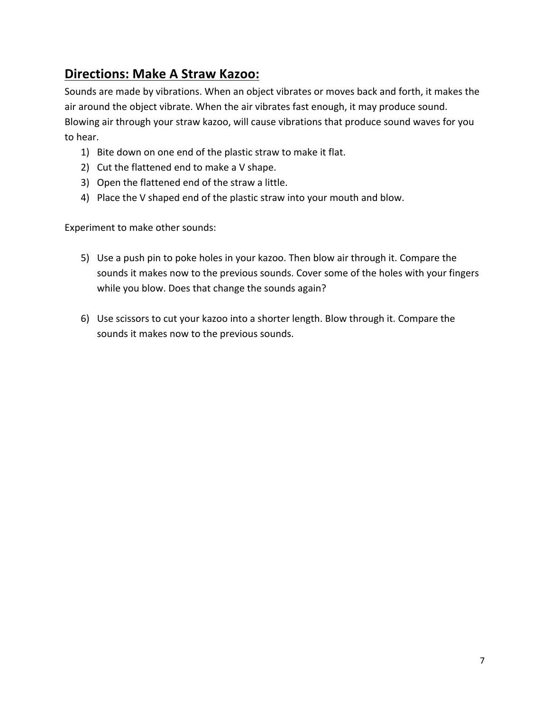# **Directions: Make A Straw Kazoo:**

Sounds are made by vibrations. When an object vibrates or moves back and forth, it makes the air around the object vibrate. When the air vibrates fast enough, it may produce sound. Blowing air through your straw kazoo, will cause vibrations that produce sound waves for you to hear.

- 1) Bite down on one end of the plastic straw to make it flat.
- 2) Cut the flattened end to make a V shape.
- 3) Open the flattened end of the straw a little.
- 4) Place the V shaped end of the plastic straw into your mouth and blow.

Experiment to make other sounds:

- 5) Use a push pin to poke holes in your kazoo. Then blow air through it. Compare the sounds it makes now to the previous sounds. Cover some of the holes with your fingers while you blow. Does that change the sounds again?
- 6) Use scissors to cut your kazoo into a shorter length. Blow through it. Compare the sounds it makes now to the previous sounds.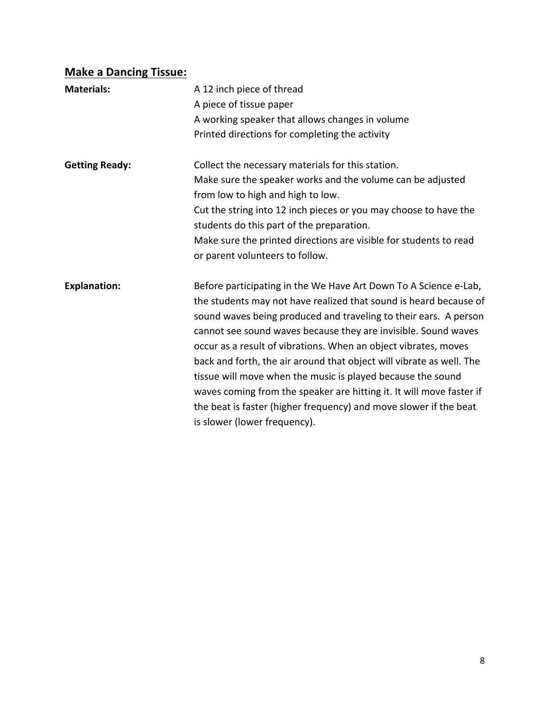# **Make a Dancing Tissue:**

| <b>Materials:</b>     | A 12 inch piece of thread<br>A piece of tissue paper<br>A working speaker that allows changes in volume<br>Printed directions for completing the activity                                                                                                                                                                                                                                                                                                                                                                                                                                                                                                          |
|-----------------------|--------------------------------------------------------------------------------------------------------------------------------------------------------------------------------------------------------------------------------------------------------------------------------------------------------------------------------------------------------------------------------------------------------------------------------------------------------------------------------------------------------------------------------------------------------------------------------------------------------------------------------------------------------------------|
| <b>Getting Ready:</b> | Collect the necessary materials for this station.<br>Make sure the speaker works and the volume can be adjusted<br>from low to high and high to low.<br>Cut the string into 12 inch pieces or you may choose to have the<br>students do this part of the preparation.<br>Make sure the printed directions are visible for students to read<br>or parent volunteers to follow.                                                                                                                                                                                                                                                                                      |
| <b>Explanation:</b>   | Before participating in the We Have Art Down To A Science e-Lab,<br>the students may not have realized that sound is heard because of<br>sound waves being produced and traveling to their ears. A person<br>cannot see sound waves because they are invisible. Sound waves<br>occur as a result of vibrations. When an object vibrates, moves<br>back and forth, the air around that object will vibrate as well. The<br>tissue will move when the music is played because the sound<br>waves coming from the speaker are hitting it. It will move faster if<br>the beat is faster (higher frequency) and move slower if the beat<br>is slower (lower frequency). |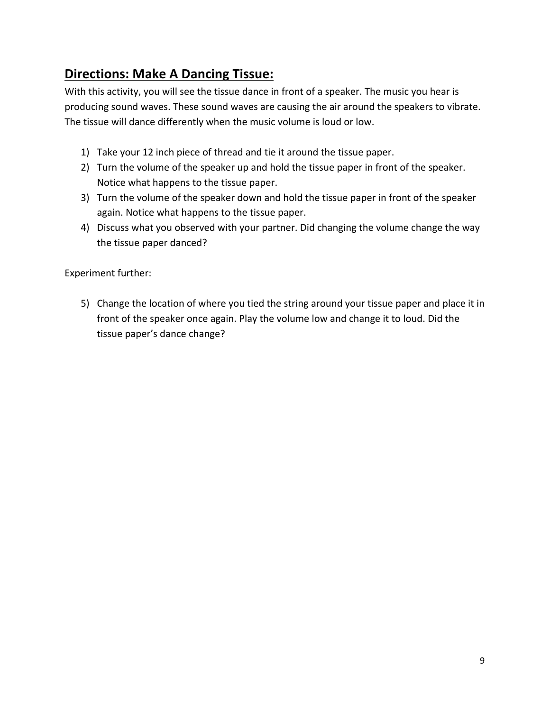# **Directions: Make A Dancing Tissue:**

With this activity, you will see the tissue dance in front of a speaker. The music you hear is producing sound waves. These sound waves are causing the air around the speakers to vibrate. The tissue will dance differently when the music volume is loud or low.

- 1) Take your 12 inch piece of thread and tie it around the tissue paper.
- 2) Turn the volume of the speaker up and hold the tissue paper in front of the speaker. Notice what happens to the tissue paper.
- 3) Turn the volume of the speaker down and hold the tissue paper in front of the speaker again. Notice what happens to the tissue paper.
- 4) Discuss what you observed with your partner. Did changing the volume change the way the tissue paper danced?

Experiment further:

5) Change the location of where you tied the string around your tissue paper and place it in front of the speaker once again. Play the volume low and change it to loud. Did the tissue paper's dance change?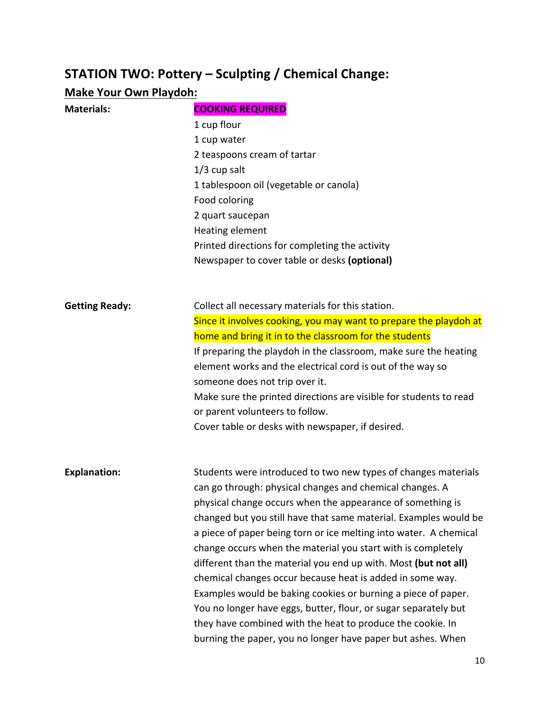# **STATION TWO: Pottery - Sculpting / Chemical Change:**

# **Make Your Own Playdoh:**

| <b>Materials:</b>     | <b>COOKING REQUIRED</b>                                           |
|-----------------------|-------------------------------------------------------------------|
|                       | 1 cup flour                                                       |
|                       | 1 cup water                                                       |
|                       | 2 teaspoons cream of tartar                                       |
|                       | $1/3$ cup salt                                                    |
|                       | 1 tablespoon oil (vegetable or canola)                            |
|                       | Food coloring                                                     |
|                       | 2 quart saucepan                                                  |
|                       | Heating element                                                   |
|                       | Printed directions for completing the activity                    |
|                       | Newspaper to cover table or desks (optional)                      |
|                       |                                                                   |
| <b>Getting Ready:</b> | Collect all necessary materials for this station.                 |
|                       | Since it involves cooking, you may want to prepare the playdoh at |
|                       | home and bring it in to the classroom for the students            |
|                       | If preparing the playdoh in the classroom, make sure the heating  |
|                       | element works and the electrical cord is out of the way so        |
|                       | someone does not trip over it.                                    |
|                       | Make sure the printed directions are visible for students to read |
|                       | or parent volunteers to follow.                                   |
|                       | Cover table or desks with newspaper, if desired.                  |
| <b>Explanation:</b>   | Students were introduced to two new types of changes materials    |
|                       | can go through: physical changes and chemical changes. A          |
|                       | physical change occurs when the appearance of something is        |
|                       | changed but you still have that same material. Examples would be  |
|                       | a piece of paper being torn or ice melting into water. A chemical |
|                       | change occurs when the material you start with is completely      |
|                       | different than the material you end up with. Most (but not all)   |
|                       | chemical changes occur because heat is added in some way.         |
|                       | Examples would be baking cookies or burning a piece of paper.     |
|                       | You no longer have eggs, butter, flour, or sugar separately but   |
|                       | they have combined with the heat to produce the cookie. In        |
|                       | burning the paper, you no longer have paper but ashes. When       |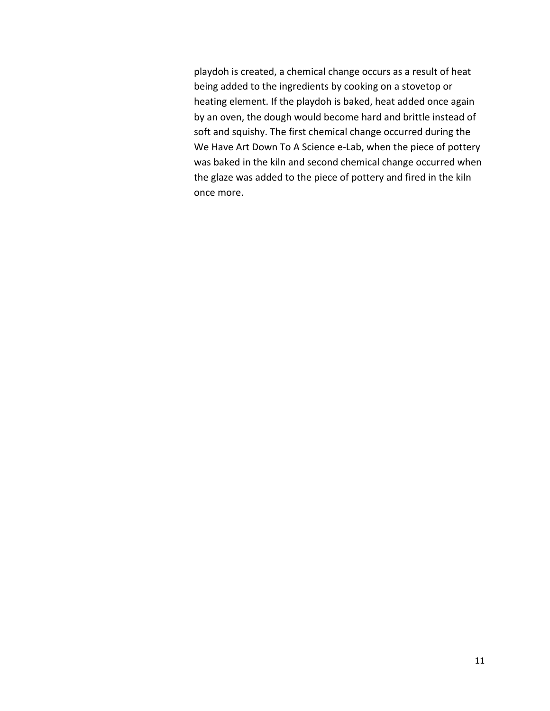playdoh is created, a chemical change occurs as a result of heat being added to the ingredients by cooking on a stovetop or heating element. If the playdoh is baked, heat added once again by an oven, the dough would become hard and brittle instead of soft and squishy. The first chemical change occurred during the We Have Art Down To A Science e-Lab, when the piece of pottery was baked in the kiln and second chemical change occurred when the glaze was added to the piece of pottery and fired in the kiln once more.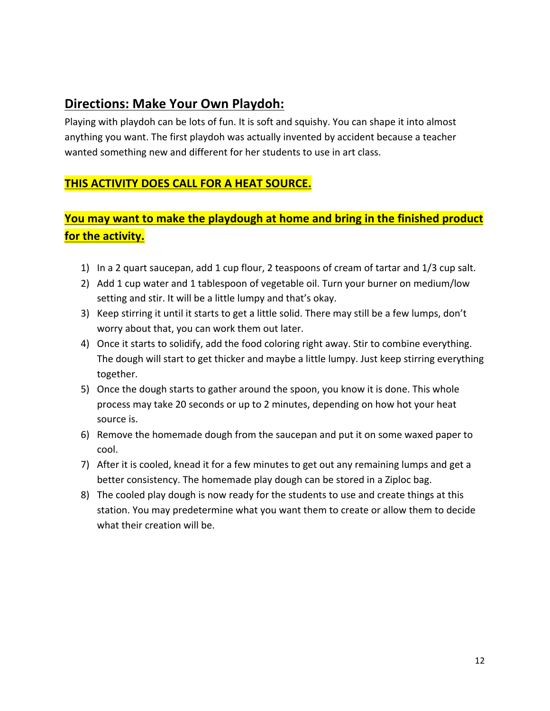## **Directions: Make Your Own Playdoh:**

Playing with playdoh can be lots of fun. It is soft and squishy. You can shape it into almost anything you want. The first playdoh was actually invented by accident because a teacher wanted something new and different for her students to use in art class.

## **THIS ACTIVITY DOES CALL FOR A HEAT SOURCE.**

## **You may want to make the playdough at home and bring in the finished product for the activity.**

- 1) In a 2 quart saucepan, add 1 cup flour, 2 teaspoons of cream of tartar and 1/3 cup salt.
- 2) Add 1 cup water and 1 tablespoon of vegetable oil. Turn your burner on medium/low setting and stir. It will be a little lumpy and that's okay.
- 3) Keep stirring it until it starts to get a little solid. There may still be a few lumps, don't worry about that, you can work them out later.
- 4) Once it starts to solidify, add the food coloring right away. Stir to combine everything. The dough will start to get thicker and maybe a little lumpy. Just keep stirring everything together.
- 5) Once the dough starts to gather around the spoon, you know it is done. This whole process may take 20 seconds or up to 2 minutes, depending on how hot your heat source is.
- 6) Remove the homemade dough from the saucepan and put it on some waxed paper to cool.
- 7) After it is cooled, knead it for a few minutes to get out any remaining lumps and get a better consistency. The homemade play dough can be stored in a Ziploc bag.
- 8) The cooled play dough is now ready for the students to use and create things at this station. You may predetermine what you want them to create or allow them to decide what their creation will be.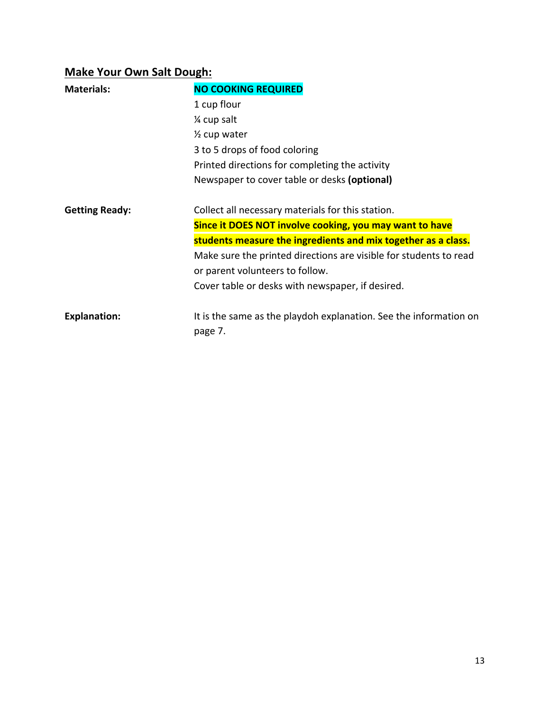# **Make Your Own Salt Dough:**

| <b>Materials:</b>     | <b>NO COOKING REQUIRED</b>                                                   |
|-----------------------|------------------------------------------------------------------------------|
|                       | 1 cup flour                                                                  |
|                       | % cup salt                                                                   |
|                       | $\frac{1}{2}$ cup water                                                      |
|                       | 3 to 5 drops of food coloring                                                |
|                       | Printed directions for completing the activity                               |
|                       | Newspaper to cover table or desks (optional)                                 |
| <b>Getting Ready:</b> | Collect all necessary materials for this station.                            |
|                       | Since it DOES NOT involve cooking, you may want to have                      |
|                       | students measure the ingredients and mix together as a class.                |
|                       | Make sure the printed directions are visible for students to read            |
|                       | or parent volunteers to follow.                                              |
|                       | Cover table or desks with newspaper, if desired.                             |
| <b>Explanation:</b>   | It is the same as the playdoh explanation. See the information on<br>page 7. |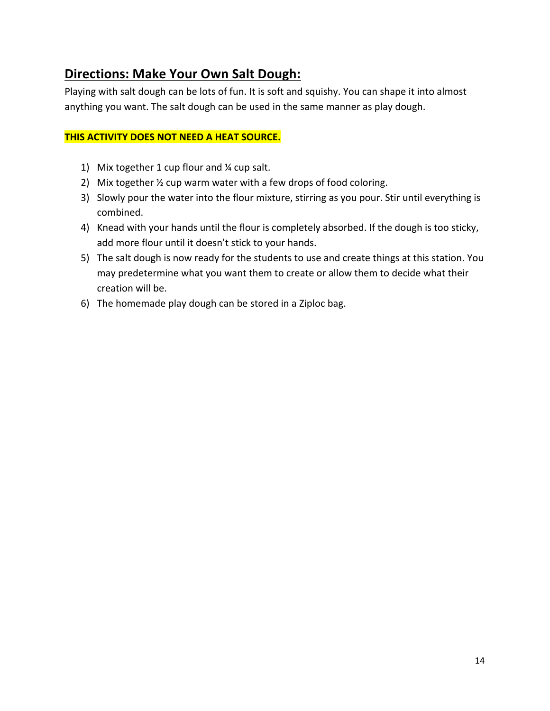# **Directions: Make Your Own Salt Dough:**

Playing with salt dough can be lots of fun. It is soft and squishy. You can shape it into almost anything you want. The salt dough can be used in the same manner as play dough.

#### **THIS ACTIVITY DOES NOT NEED A HEAT SOURCE.**

- 1) Mix together  $1$  cup flour and  $\frac{1}{4}$  cup salt.
- 2) Mix together  $\frac{1}{2}$  cup warm water with a few drops of food coloring.
- 3) Slowly pour the water into the flour mixture, stirring as you pour. Stir until everything is combined.
- 4) Knead with your hands until the flour is completely absorbed. If the dough is too sticky, add more flour until it doesn't stick to your hands.
- 5) The salt dough is now ready for the students to use and create things at this station. You may predetermine what you want them to create or allow them to decide what their creation will be.
- 6) The homemade play dough can be stored in a Ziploc bag.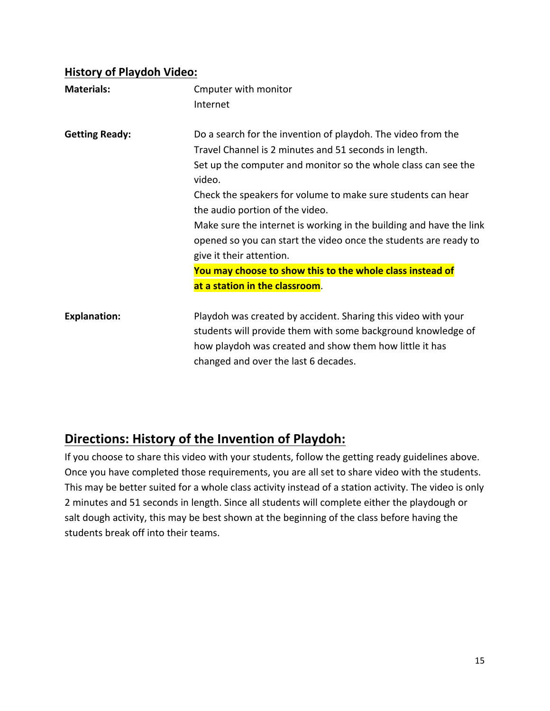#### **History of Playdoh Video:**

| <b>Materials:</b>     | Cmputer with monitor<br>Internet                                                                                                                                                                                                                                                                                                                                                                                                                                            |
|-----------------------|-----------------------------------------------------------------------------------------------------------------------------------------------------------------------------------------------------------------------------------------------------------------------------------------------------------------------------------------------------------------------------------------------------------------------------------------------------------------------------|
|                       |                                                                                                                                                                                                                                                                                                                                                                                                                                                                             |
| <b>Getting Ready:</b> | Do a search for the invention of playdoh. The video from the<br>Travel Channel is 2 minutes and 51 seconds in length.<br>Set up the computer and monitor so the whole class can see the<br>video.<br>Check the speakers for volume to make sure students can hear<br>the audio portion of the video.<br>Make sure the internet is working in the building and have the link<br>opened so you can start the video once the students are ready to<br>give it their attention. |
|                       | You may choose to show this to the whole class instead of                                                                                                                                                                                                                                                                                                                                                                                                                   |
|                       | at a station in the classroom.                                                                                                                                                                                                                                                                                                                                                                                                                                              |
| <b>Explanation:</b>   | Playdoh was created by accident. Sharing this video with your<br>students will provide them with some background knowledge of<br>how playdoh was created and show them how little it has<br>changed and over the last 6 decades.                                                                                                                                                                                                                                            |

# **Directions: History of the Invention of Playdoh:**

If you choose to share this video with your students, follow the getting ready guidelines above. Once you have completed those requirements, you are all set to share video with the students. This may be better suited for a whole class activity instead of a station activity. The video is only 2 minutes and 51 seconds in length. Since all students will complete either the playdough or salt dough activity, this may be best shown at the beginning of the class before having the students break off into their teams.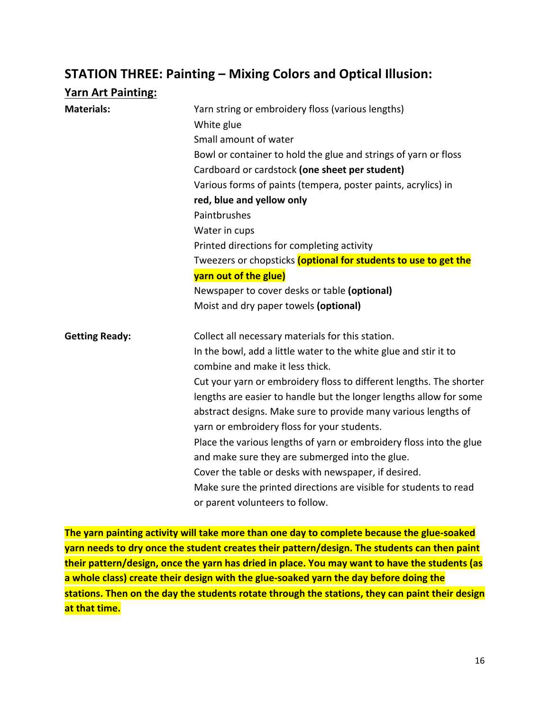## **STATION THREE: Painting - Mixing Colors and Optical Illusion:**

| <b>Yarn Art Painting:</b> |                                                                     |
|---------------------------|---------------------------------------------------------------------|
| <b>Materials:</b>         | Yarn string or embroidery floss (various lengths)                   |
|                           | White glue                                                          |
|                           | Small amount of water                                               |
|                           | Bowl or container to hold the glue and strings of yarn or floss     |
|                           | Cardboard or cardstock (one sheet per student)                      |
|                           | Various forms of paints (tempera, poster paints, acrylics) in       |
|                           | red, blue and yellow only                                           |
|                           | Paintbrushes                                                        |
|                           | Water in cups                                                       |
|                           | Printed directions for completing activity                          |
|                           | Tweezers or chopsticks (optional for students to use to get the     |
|                           | yarn out of the glue)                                               |
|                           | Newspaper to cover desks or table (optional)                        |
|                           | Moist and dry paper towels (optional)                               |
| <b>Getting Ready:</b>     | Collect all necessary materials for this station.                   |
|                           | In the bowl, add a little water to the white glue and stir it to    |
|                           | combine and make it less thick.                                     |
|                           | Cut your yarn or embroidery floss to different lengths. The shorter |
|                           | lengths are easier to handle but the longer lengths allow for some  |
|                           | abstract designs. Make sure to provide many various lengths of      |
|                           | yarn or embroidery floss for your students.                         |
|                           | Place the various lengths of yarn or embroidery floss into the glue |
|                           | and make sure they are submerged into the glue.                     |
|                           | Cover the table or desks with newspaper, if desired.                |
|                           | Make sure the printed directions are visible for students to read   |
|                           | or parent volunteers to follow.                                     |

The yarn painting activity will take more than one day to complete because the glue-soaked **yarn needs to dry once the student creates their pattern/design. The students can then paint** their pattern/design, once the yarn has dried in place. You may want to have the students (as a whole class) create their design with the glue-soaked yarn the day before doing the stations. Then on the day the students rotate through the stations, they can paint their design **at that time.**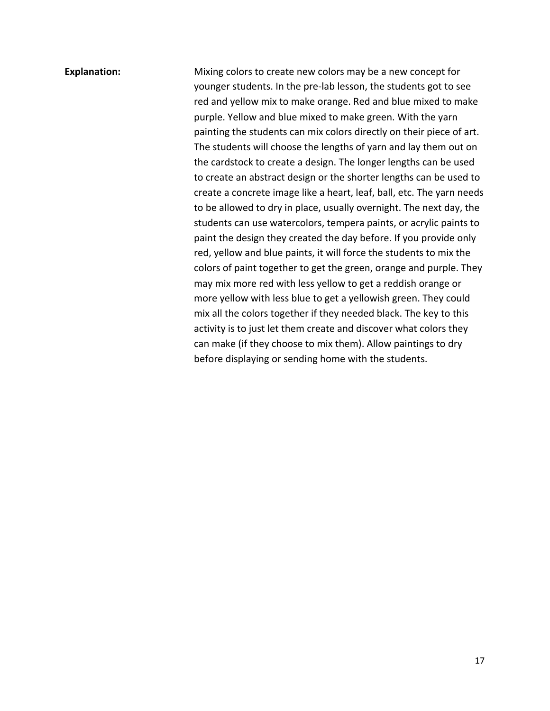**Explanation:** Mixing colors to create new colors may be a new concept for younger students. In the pre-lab lesson, the students got to see red and yellow mix to make orange. Red and blue mixed to make purple. Yellow and blue mixed to make green. With the yarn painting the students can mix colors directly on their piece of art. The students will choose the lengths of yarn and lay them out on the cardstock to create a design. The longer lengths can be used to create an abstract design or the shorter lengths can be used to create a concrete image like a heart, leaf, ball, etc. The yarn needs to be allowed to dry in place, usually overnight. The next day, the students can use watercolors, tempera paints, or acrylic paints to paint the design they created the day before. If you provide only red, yellow and blue paints, it will force the students to mix the colors of paint together to get the green, orange and purple. They may mix more red with less yellow to get a reddish orange or more yellow with less blue to get a yellowish green. They could mix all the colors together if they needed black. The key to this activity is to just let them create and discover what colors they can make (if they choose to mix them). Allow paintings to dry before displaying or sending home with the students.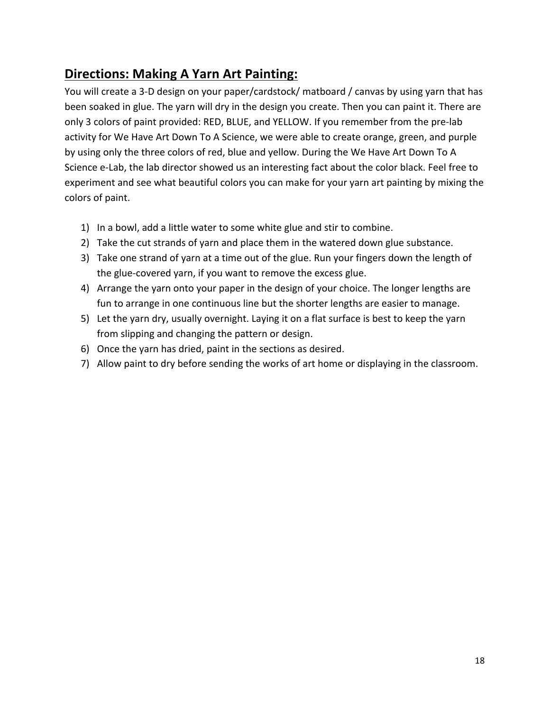# **Directions: Making A Yarn Art Painting:**

You will create a 3-D design on your paper/cardstock/ matboard / canvas by using yarn that has been soaked in glue. The yarn will dry in the design you create. Then you can paint it. There are only 3 colors of paint provided: RED, BLUE, and YELLOW. If you remember from the pre-lab activity for We Have Art Down To A Science, we were able to create orange, green, and purple by using only the three colors of red, blue and yellow. During the We Have Art Down To A Science e-Lab, the lab director showed us an interesting fact about the color black. Feel free to experiment and see what beautiful colors you can make for your yarn art painting by mixing the colors of paint.

- 1) In a bowl, add a little water to some white glue and stir to combine.
- 2) Take the cut strands of yarn and place them in the watered down glue substance.
- 3) Take one strand of varn at a time out of the glue. Run your fingers down the length of the glue-covered yarn, if you want to remove the excess glue.
- 4) Arrange the yarn onto your paper in the design of your choice. The longer lengths are fun to arrange in one continuous line but the shorter lengths are easier to manage.
- 5) Let the yarn dry, usually overnight. Laying it on a flat surface is best to keep the yarn from slipping and changing the pattern or design.
- 6) Once the yarn has dried, paint in the sections as desired.
- 7) Allow paint to dry before sending the works of art home or displaying in the classroom.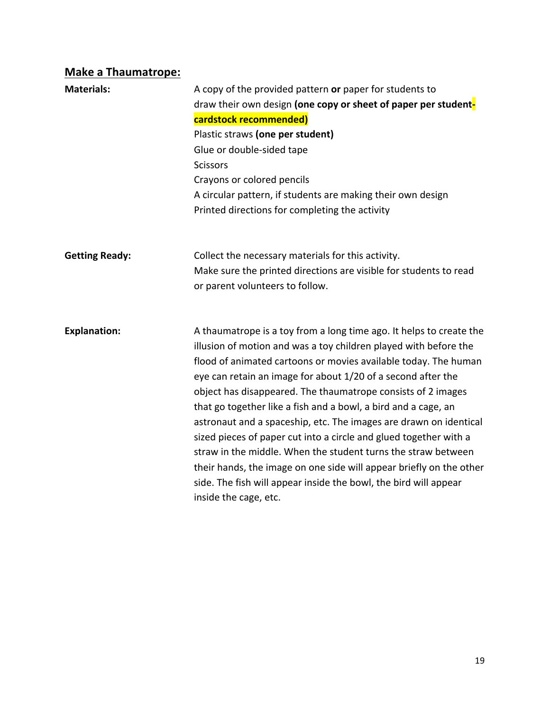# **Make a Thaumatrope:**

| <b>Materials:</b>     | A copy of the provided pattern or paper for students to<br>draw their own design (one copy or sheet of paper per student-<br>cardstock recommended)<br>Plastic straws (one per student)<br>Glue or double-sided tape<br><b>Scissors</b><br>Crayons or colored pencils<br>A circular pattern, if students are making their own design<br>Printed directions for completing the activity                                                                                                                                                                                                                                                                                                                                                                                                      |
|-----------------------|---------------------------------------------------------------------------------------------------------------------------------------------------------------------------------------------------------------------------------------------------------------------------------------------------------------------------------------------------------------------------------------------------------------------------------------------------------------------------------------------------------------------------------------------------------------------------------------------------------------------------------------------------------------------------------------------------------------------------------------------------------------------------------------------|
| <b>Getting Ready:</b> | Collect the necessary materials for this activity.<br>Make sure the printed directions are visible for students to read<br>or parent volunteers to follow.                                                                                                                                                                                                                                                                                                                                                                                                                                                                                                                                                                                                                                  |
| <b>Explanation:</b>   | A thaumatrope is a toy from a long time ago. It helps to create the<br>illusion of motion and was a toy children played with before the<br>flood of animated cartoons or movies available today. The human<br>eye can retain an image for about 1/20 of a second after the<br>object has disappeared. The thaumatrope consists of 2 images<br>that go together like a fish and a bowl, a bird and a cage, an<br>astronaut and a spaceship, etc. The images are drawn on identical<br>sized pieces of paper cut into a circle and glued together with a<br>straw in the middle. When the student turns the straw between<br>their hands, the image on one side will appear briefly on the other<br>side. The fish will appear inside the bowl, the bird will appear<br>inside the cage, etc. |